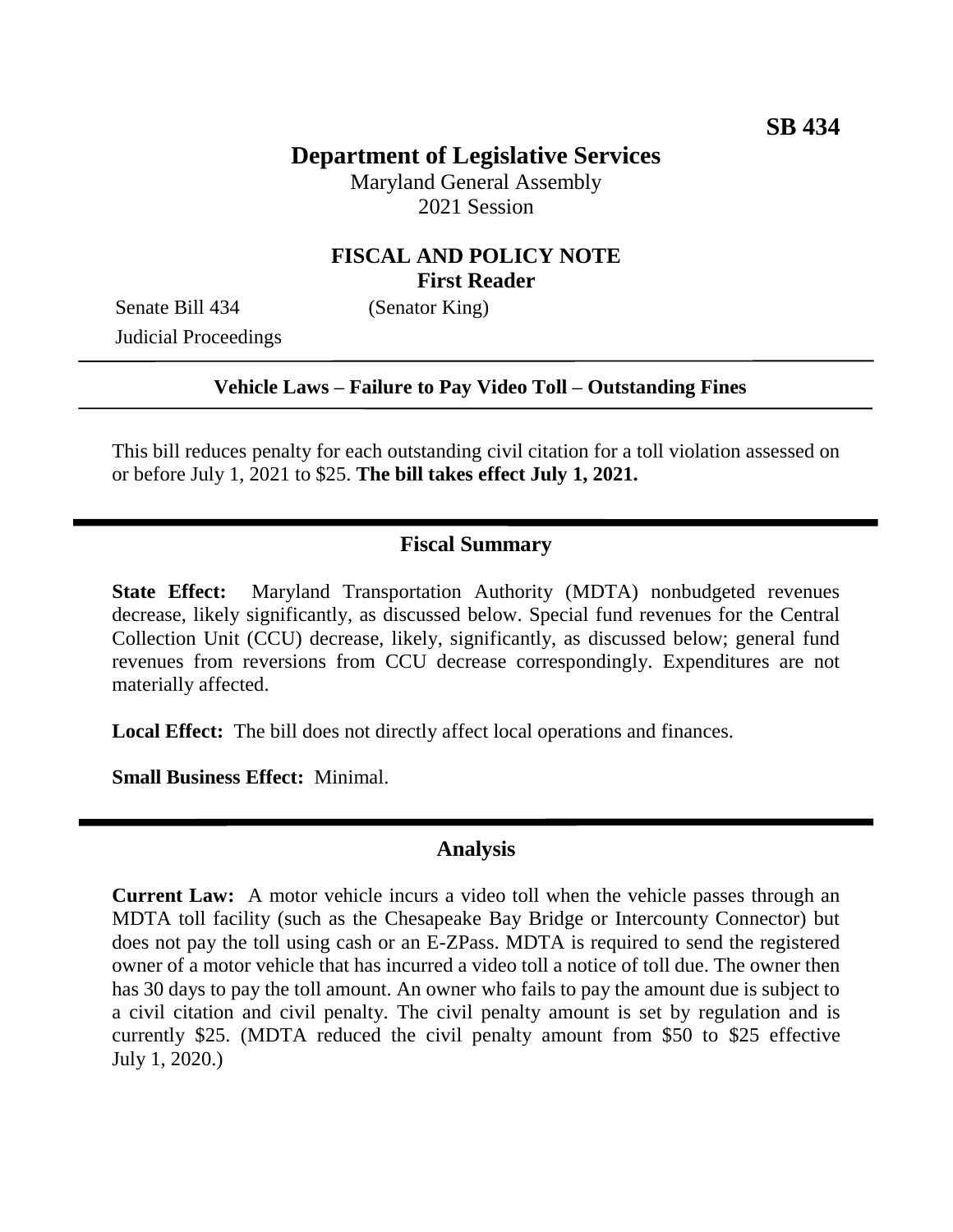# **Department of Legislative Services**

Maryland General Assembly 2021 Session

# **FISCAL AND POLICY NOTE First Reader**

Senate Bill 434 (Senator King) Judicial Proceedings

#### **Vehicle Laws – Failure to Pay Video Toll – Outstanding Fines**

This bill reduces penalty for each outstanding civil citation for a toll violation assessed on or before July 1, 2021 to \$25. **The bill takes effect July 1, 2021.** 

#### **Fiscal Summary**

**State Effect:** Maryland Transportation Authority (MDTA) nonbudgeted revenues decrease, likely significantly, as discussed below. Special fund revenues for the Central Collection Unit (CCU) decrease, likely, significantly, as discussed below; general fund revenues from reversions from CCU decrease correspondingly. Expenditures are not materially affected.

**Local Effect:** The bill does not directly affect local operations and finances.

**Small Business Effect:** Minimal.

### **Analysis**

**Current Law:** A motor vehicle incurs a video toll when the vehicle passes through an MDTA toll facility (such as the Chesapeake Bay Bridge or Intercounty Connector) but does not pay the toll using cash or an E-ZPass. MDTA is required to send the registered owner of a motor vehicle that has incurred a video toll a notice of toll due. The owner then has 30 days to pay the toll amount. An owner who fails to pay the amount due is subject to a civil citation and civil penalty. The civil penalty amount is set by regulation and is currently \$25. (MDTA reduced the civil penalty amount from \$50 to \$25 effective July 1, 2020.)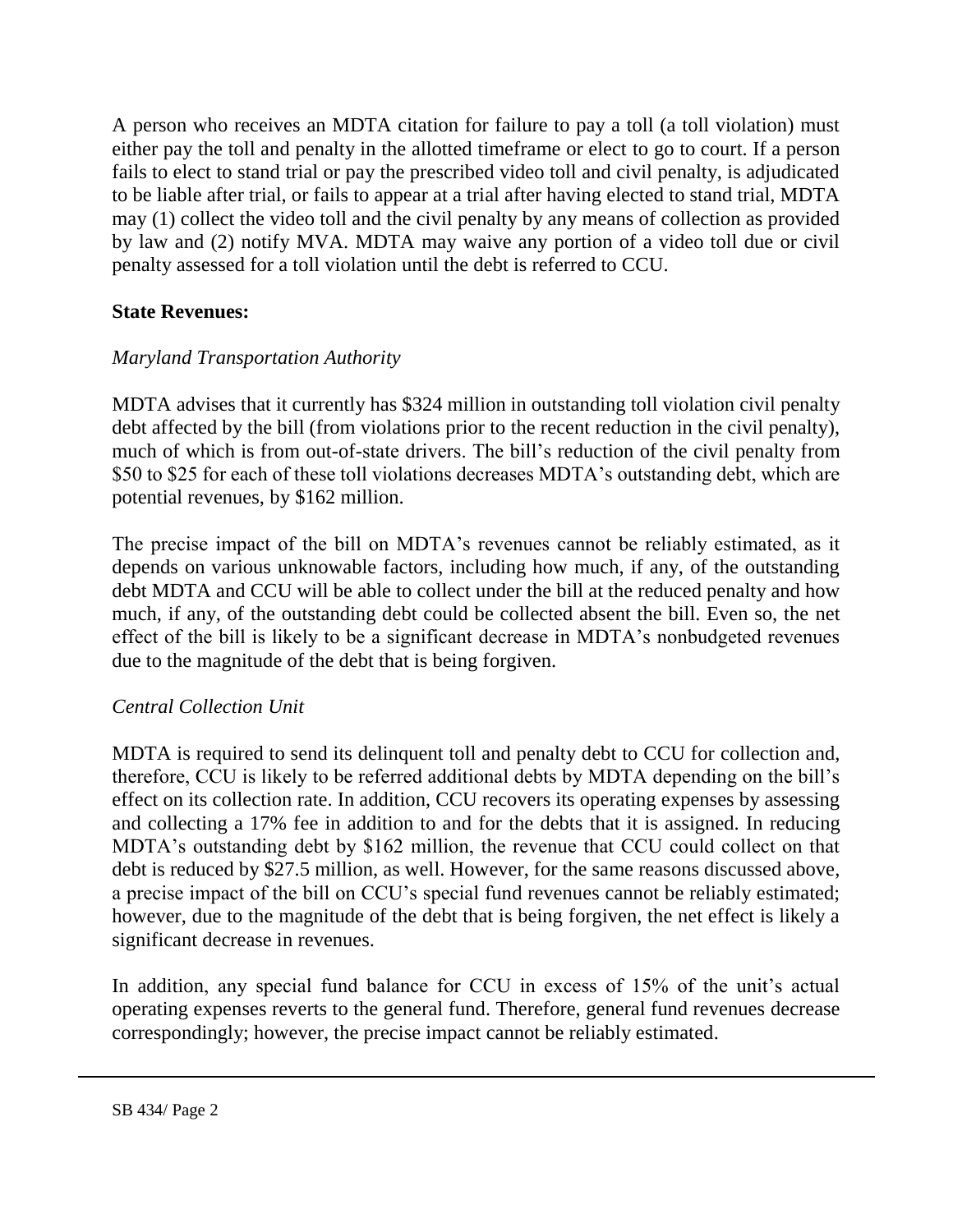A person who receives an MDTA citation for failure to pay a toll (a toll violation) must either pay the toll and penalty in the allotted timeframe or elect to go to court. If a person fails to elect to stand trial or pay the prescribed video toll and civil penalty, is adjudicated to be liable after trial, or fails to appear at a trial after having elected to stand trial, MDTA may (1) collect the video toll and the civil penalty by any means of collection as provided by law and (2) notify MVA. MDTA may waive any portion of a video toll due or civil penalty assessed for a toll violation until the debt is referred to CCU.

### **State Revenues:**

## *Maryland Transportation Authority*

MDTA advises that it currently has \$324 million in outstanding toll violation civil penalty debt affected by the bill (from violations prior to the recent reduction in the civil penalty), much of which is from out-of-state drivers. The bill's reduction of the civil penalty from \$50 to \$25 for each of these toll violations decreases MDTA's outstanding debt, which are potential revenues, by \$162 million.

The precise impact of the bill on MDTA's revenues cannot be reliably estimated, as it depends on various unknowable factors, including how much, if any, of the outstanding debt MDTA and CCU will be able to collect under the bill at the reduced penalty and how much, if any, of the outstanding debt could be collected absent the bill. Even so, the net effect of the bill is likely to be a significant decrease in MDTA's nonbudgeted revenues due to the magnitude of the debt that is being forgiven.

### *Central Collection Unit*

MDTA is required to send its delinquent toll and penalty debt to CCU for collection and, therefore, CCU is likely to be referred additional debts by MDTA depending on the bill's effect on its collection rate. In addition, CCU recovers its operating expenses by assessing and collecting a 17% fee in addition to and for the debts that it is assigned. In reducing MDTA's outstanding debt by \$162 million, the revenue that CCU could collect on that debt is reduced by \$27.5 million, as well. However, for the same reasons discussed above, a precise impact of the bill on CCU's special fund revenues cannot be reliably estimated; however, due to the magnitude of the debt that is being forgiven, the net effect is likely a significant decrease in revenues.

In addition, any special fund balance for CCU in excess of 15% of the unit's actual operating expenses reverts to the general fund. Therefore, general fund revenues decrease correspondingly; however, the precise impact cannot be reliably estimated.